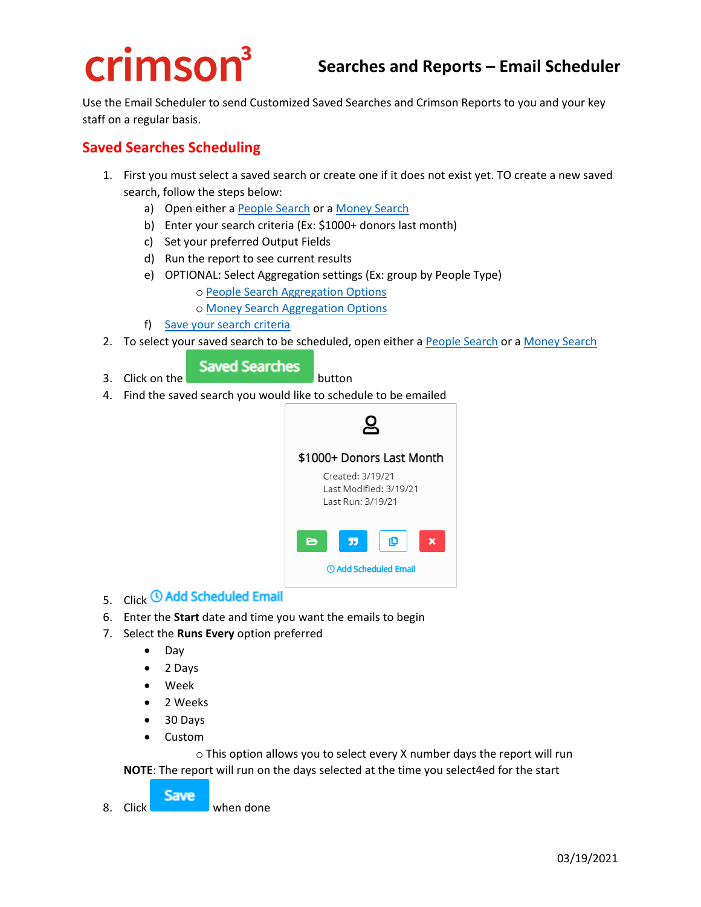# crimson<sup>3</sup>

Use the Email Scheduler to send Customized Saved Searches and Crimson Reports to you and your key staff on a regular basis.

## **Saved Searches Scheduling**

- 1. First you must select a saved search or create one if it does not exist yet. TO create a new saved search, follow the steps below:
	- a) Open either a [People Search](https://support.cmdi.com/hc/en-us/articles/360018143731-Crimson-3-People-Search) or a [Money Search](https://support.cmdi.com/hc/en-us/articles/360030302571-Crimson-3-Money-Search)
	- b) Enter your search criteria (Ex: \$1000+ donors last month)
	- c) Set your preferred Output Fields
	- d) Run the report to see current results
	- e) OPTIONAL: Select Aggregation settings (Ex: group by People Type)
		- o [People Search Aggregation Options](https://support.cmdi.com/hc/en-us/articles/360055488911-Crimson-3-People-Search-Aggregation)

o [Money Search Aggregation Options](https://support.cmdi.com/hc/en-us/articles/360055488791-Crimson-3-Money-Search-Aggregation)

- f) [Save your search criteria](https://support.cmdi.com/hc/en-us/articles/360027316331-Crimson-3-New-Search-Features)
- 2. To select your saved search to be scheduled, open either a [People Search](https://support.cmdi.com/hc/en-us/articles/360018143731-Crimson-3-People-Search) or [a Money Search](https://support.cmdi.com/hc/en-us/articles/360030302571-Crimson-3-Money-Search)

#### **Saved Searches**

- 3. Click on the **button**
- 4. Find the saved search you would like to schedule to be emailed



- 5. Click <sup>(0</sup> Add Scheduled Email
- 6. Enter the **Start** date and time you want the emails to begin
- 7. Select the **Runs Every** option preferred
	- Day
	- 2 Days
	- Week
	- 2 Weeks
	- 30 Days
	- Custom

o This option allows you to select every X number days the report will run

**NOTE**: The report will run on the days selected at the time you select4ed for the start

**Save** 8. Click when done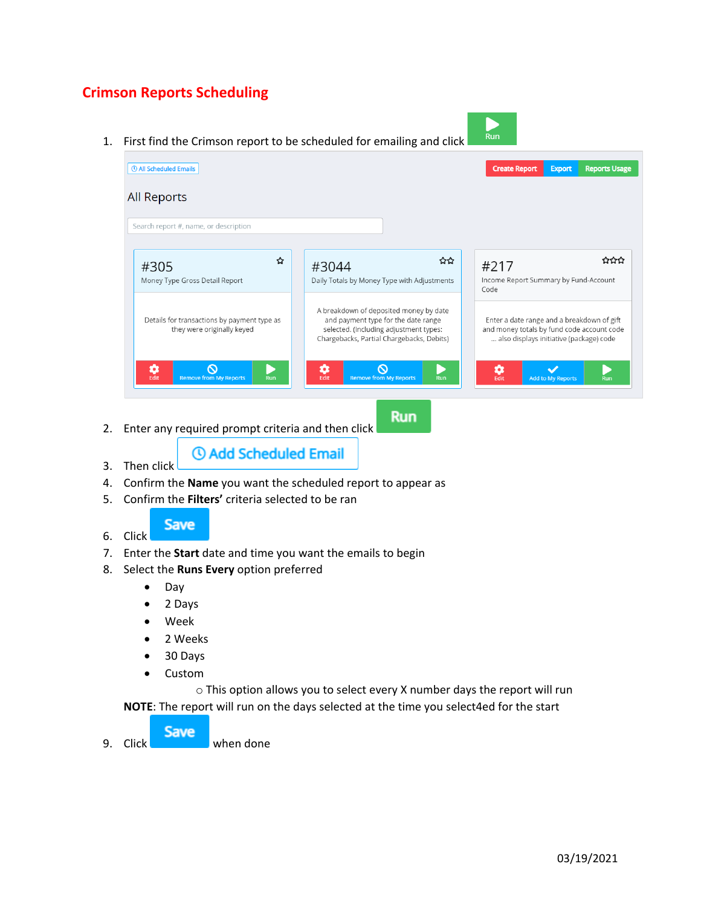# **Crimson Reports Scheduling**

1. First find the Crimson report to be scheduled for emailing and click





**Run** 

- 2. Enter any required prompt criteria and then click
	- *O* Add Scheduled Email
- 4. Confirm the **Name** you want the scheduled report to appear as
- 5. Confirm the **Filters'** criteria selected to be ran



3. Then click

6. Click

- 7. Enter the **Start** date and time you want the emails to begin
- 8. Select the **Runs Every** option preferred
	- Day
	- 2 Days
	- Week
	- 2 Weeks
	- 30 Days
	- Custom

o This option allows you to select every X number days the report will run **NOTE**: The report will run on the days selected at the time you select4ed for the start

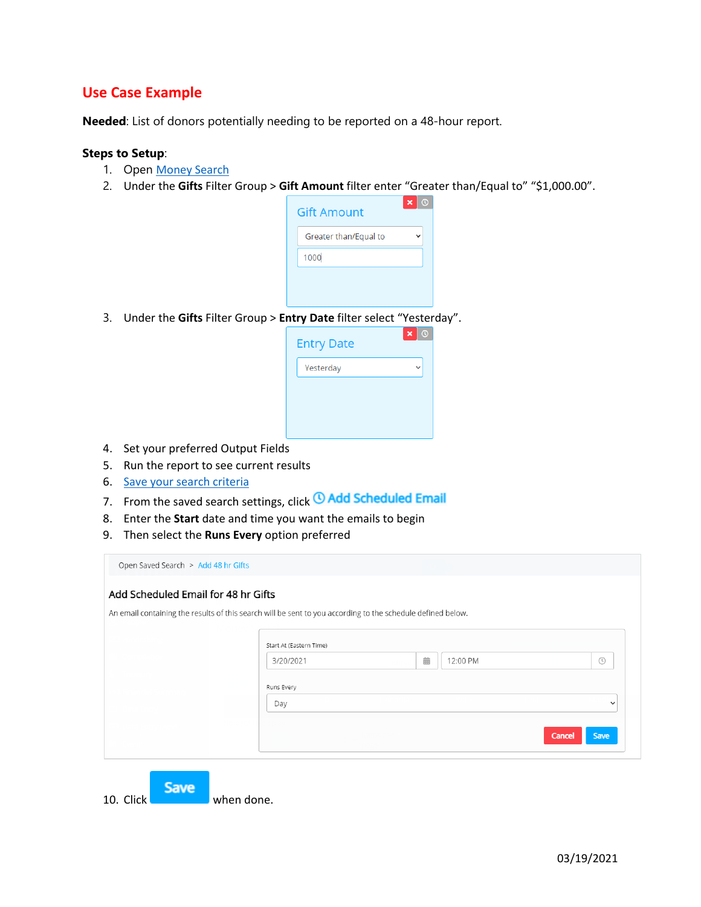## **Use Case Example**

**Needed**: List of donors potentially needing to be reported on a 48-hour report.

#### **Steps to Setup**:

- 1. Open [Money Search](https://support.cmdi.com/hc/en-us/articles/360030302571-Crimson-3-Money-Search)
- 2. Under the **Gifts** Filter Group > **Gift Amount** filter enter "Greater than/Equal to" "\$1,000.00".

| <b>Gift Amount</b>    | × |
|-----------------------|---|
| Greater than/Equal to |   |
| 1000                  |   |
|                       |   |
|                       |   |

3. Under the **Gifts** Filter Group > **Entry Date** filter select "Yesterday".

| <b>Entry Date</b> | × |
|-------------------|---|
| Yesterday         |   |
|                   |   |
|                   |   |
|                   |   |

- 4. Set your preferred Output Fields
- 5. Run the report to see current results
- 6. [Save your search criteria](https://support.cmdi.com/hc/en-us/articles/360027316331-Crimson-3-New-Search-Features)
- 7. From the saved search settings, click **4 Add Scheduled Email**
- 8. Enter the **Start** date and time you want the emails to begin
- 9. Then select the **Runs Every** option preferred

| Add Scheduled Email for 48 hr Gifts |                                                                                                             |   |          |        |              |
|-------------------------------------|-------------------------------------------------------------------------------------------------------------|---|----------|--------|--------------|
|                                     | An email containing the results of this search will be sent to you according to the schedule defined below. |   |          |        |              |
|                                     |                                                                                                             |   |          |        |              |
|                                     |                                                                                                             |   |          |        |              |
|                                     | Start At (Eastern Time)                                                                                     |   |          |        |              |
|                                     | 3/20/2021                                                                                                   | 齒 | 12:00 PM |        | $\odot$      |
|                                     | Runs Every                                                                                                  |   |          |        |              |
|                                     | Day                                                                                                         |   |          |        | $\checkmark$ |
|                                     |                                                                                                             |   |          |        |              |
|                                     |                                                                                                             |   |          | Cancel | Save         |
|                                     |                                                                                                             |   |          |        |              |

Save 10. Click when done.